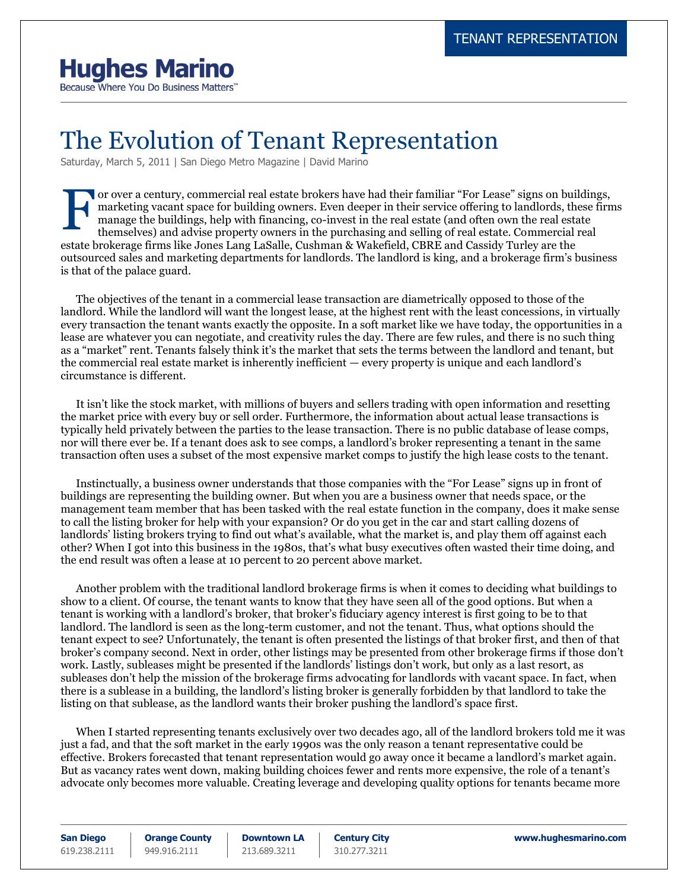## **Hughes Marino**

Because Where You Do Business Matters"

## The Evolution of Tenant Representation

Saturday, March 5, 2011 | San Diego Metro Magazine | David Marino

or over a century, commercial real estate brokers have had their familiar "For Lease" signs on buildings, marketing vacant space for building owners. Even deeper in their service offering to landlords, these firms manage the buildings, help with financing, co-invest in the real estate (and often own the real estate themselves) and advise property owners in the purchasing and selling of real estate. Commercial real estate brokerage firms like Jones Lang LaSalle, Cushman & Wakefield, CBRE and Cassidy Turley are the outsourced sales and marketing departments for landlords. The landlord is king, and a brokerage firm's business is that of the palace guard. F

The objectives of the tenant in a commercial lease transaction are diametrically opposed to those of the landlord. While the landlord will want the longest lease, at the highest rent with the least concessions, in virtually every transaction the tenant wants exactly the opposite. In a soft market like we have today, the opportunities in a lease are whatever you can negotiate, and creativity rules the day. There are few rules, and there is no such thing as a "market" rent. Tenants falsely think it's the market that sets the terms between the landlord and tenant, but the commercial real estate market is inherently inefficient — every property is unique and each landlord's circumstance is different.

It isn't like the stock market, with millions of buyers and sellers trading with open information and resetting the market price with every buy or sell order. Furthermore, the information about actual lease transactions is typically held privately between the parties to the lease transaction. There is no public database of lease comps, nor will there ever be. If a tenant does ask to see comps, a landlord's broker representing a tenant in the same transaction often uses a subset of the most expensive market comps to justify the high lease costs to the tenant.

Instinctually, a business owner understands that those companies with the "For Lease" signs up in front of buildings are representing the building owner. But when you are a business owner that needs space, or the management team member that has been tasked with the real estate function in the company, does it make sense to call the listing broker for help with your expansion? Or do you get in the car and start calling dozens of landlords' listing brokers trying to find out what's available, what the market is, and play them off against each other? When I got into this business in the 1980s, that's what busy executives often wasted their time doing, and the end result was often a lease at 10 percent to 20 percent above market.

Another problem with the traditional landlord brokerage firms is when it comes to deciding what buildings to show to a client. Of course, the tenant wants to know that they have seen all of the good options. But when a tenant is working with a landlord's broker, that broker's fiduciary agency interest is first going to be to that landlord. The landlord is seen as the long-term customer, and not the tenant. Thus, what options should the tenant expect to see? Unfortunately, the tenant is often presented the listings of that broker first, and then of that broker's company second. Next in order, other listings may be presented from other brokerage firms if those don't work. Lastly, subleases might be presented if the landlords' listings don't work, but only as a last resort, as subleases don't help the mission of the brokerage firms advocating for landlords with vacant space. In fact, when there is a sublease in a building, the landlord's listing broker is generally forbidden by that landlord to take the listing on that sublease, as the landlord wants their broker pushing the landlord's space first.

When I started representing tenants exclusively over two decades ago, all of the landlord brokers told me it was just a fad, and that the soft market in the early 1990s was the only reason a tenant representative could be effective. Brokers forecasted that tenant representation would go away once it became a landlord's market again. But as vacancy rates went down, making building choices fewer and rents more expensive, the role of a tenant's advocate only becomes more valuable. Creating leverage and developing quality options for tenants became more

**San Diego** 619.238.2111